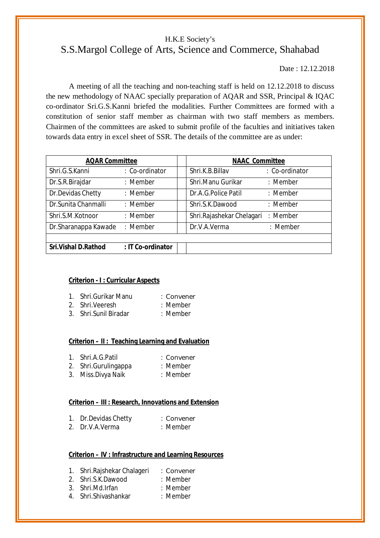# H.K.E Society's S.S.Margol College of Arts, Science and Commerce, Shahabad

Date : 12.12.2018

A meeting of all the teaching and non-teaching staff is held on 12.12.2018 to discuss the new methodology of NAAC specially preparation of AQAR and SSR, Principal & IQAC co-ordinator Sri.G.S.Kanni briefed the modalities. Further Committees are formed with a constitution of senior staff member as chairman with two staff members as members. Chairmen of the committees are asked to submit profile of the faculties and initiatives taken towards data entry in excel sheet of SSR. The details of the committee are as under:

| <b>AQAR Committee</b>        |                   | <b>NAAC Committee</b>     |                |
|------------------------------|-------------------|---------------------------|----------------|
| Shri.G.S.Kanni               | : Co-ordinator    | Shri.K.B.Billav           | : Co-ordinator |
| Dr.S.R.Birajdar              | : Member          | Shri.Manu Gurikar         | : Member       |
| Dr. Devidas Chetty           | : Member          | Dr.A.G.Police Patil       | : Member       |
| Dr. Sunita Chanmalli         | : Member          | Shri.S.K.Dawood           | : Member       |
| Shri.S.M.Kotnoor             | : Member          | Shri.Rajashekar Chelagari | : Member       |
| Dr. Sharanappa Kawade        | : Member          | Dr.V.A.Verma              | : Member       |
|                              |                   |                           |                |
| <b>Sri. Vishal D. Rathod</b> | : IT Co-ordinator |                           |                |

### **Criterion - I : Curricular Aspects**

| 1. Shri.Gurikar Manu | : Convener |
|----------------------|------------|
|                      |            |

- 2. Shri.Veeresh : Member
- 3. Shri.Sunil Biradar : Member

#### **Criterion – II : Teaching Learning and Evaluation**

- 1. Shri.A.G.Patil : Convener
- 2. Shri.Gurulingappa : Member
- 3. Miss.Divya Naik : Member

# **Criterion – III : Research, Innovations and Extension**

|    | Dr.Devidas Chetty | : Convener |
|----|-------------------|------------|
| 2. | Dr.V.A.Verma      | : Member   |

# **Criterion – IV : Infrastructure and Learning Resources**

- 
- 1. Shri.Rajshekar Chalageri : Convener 2. Shri.S.K.Dawood : Member
- 3. Shri.Md.Irfan : Member
- 
- 4. Shri.Shivashankar : Member